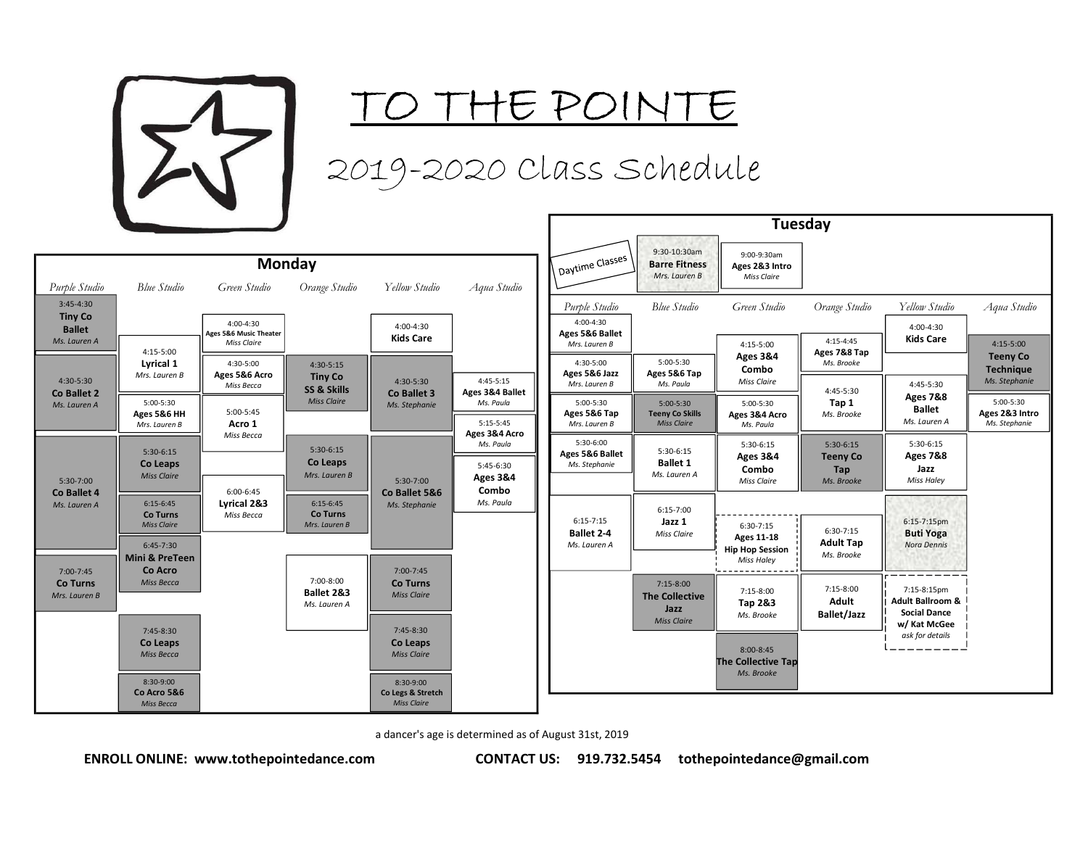

TO THE POINTE

2019-2020 Class Schedule

|                                                 |                                                                            |                                                    | <b>Monday</b>                                     |                                                      |                                                                  | Daytime Classes                                   | 9:3<br>Bar                         |
|-------------------------------------------------|----------------------------------------------------------------------------|----------------------------------------------------|---------------------------------------------------|------------------------------------------------------|------------------------------------------------------------------|---------------------------------------------------|------------------------------------|
| Purple Studio<br>$3:45 - 4:30$                  | Blue Studio                                                                | Green Studio                                       | Orange Studio                                     | Yellow Studio                                        | Aqua Studio                                                      | Purple Studio                                     | Mr<br>Bh                           |
| <b>Tiny Co</b><br><b>Ballet</b><br>Ms. Lauren A | 4:15-5:00                                                                  | 4:00-4:30<br>Ages 5&6 Music Theater<br>Miss Claire |                                                   | $4:00 - 4:30$<br><b>Kids Care</b>                    |                                                                  | $4:00 - 4:30$<br>Ages 5&6 Ballet<br>Mrs. Lauren B |                                    |
| 4:30-5:30<br>Co Ballet 2                        | Lyrical 1<br>Mrs. Lauren B                                                 | 4:30-5:00<br>Ages 5&6 Acro<br>Miss Becca           | 4:30-5:15<br><b>Tiny Co</b><br>SS & Skills        | 4:30-5:30<br>Co Ballet 3                             | $4:45-5:15$<br>Ages 3&4 Ballet                                   | 4:30-5:00<br>Ages 5&6 Jazz<br>Mrs. Lauren B       | 5<br>Age:<br>M                     |
| Ms. Lauren A                                    | 5:00-5:30<br>Ages 5&6 HH<br>Mrs. Lauren B                                  | $5:00-5:45$<br>Acro 1                              | <b>Miss Claire</b>                                | Ms. Stephanie                                        | Ms. Paula<br>$5:15-5:45$                                         | 5:00-5:30<br>Ages 5&6 Tap<br>Mrs. Lauren B        | 5<br><b>Teer</b><br>$\overline{M}$ |
| 5:30-7:00                                       | 5:30-6:15<br>Co Leaps<br><b>Miss Claire</b>                                | Miss Becca                                         | $5:30-6:15$<br>Co Leaps<br>Mrs. Lauren B          | 5:30-7:00                                            | Ages 3&4 Acro<br>Ms. Paula<br>$5:45-6:30$<br><b>Ages 3&amp;4</b> | 5:30-6:00<br>Ages 5&6 Ballet<br>Ms. Stephanie     | 5:<br>B<br>Ms.                     |
| Co Ballet 4<br>Ms. Lauren A                     | $6:15-6:45$<br><b>Co Turns</b><br><b>Miss Claire</b>                       | 6:00-6:45<br>Lyrical 2&3<br>Miss Becca             | $6:15 - 6:45$<br><b>Co Turns</b><br>Mrs. Lauren B | Co Ballet 5&6<br>Ms. Stephanie                       | Combo<br>Ms. Paula                                               | $6:15 - 7:15$<br><b>Ballet 2-4</b>                | 6:<br>M.                           |
| 7:00-7:45<br>Co Turns<br>Mrs. Lauren B          | $6:45 - 7:30$<br><b>Mini &amp; PreTeen</b><br>Co Acro<br><b>Miss Becca</b> |                                                    | 7:00-8:00<br>Ballet 2&3<br>Ms. Lauren A           | 7:00-7:45<br>Co Turns<br><b>Miss Claire</b>          |                                                                  | Ms. Lauren A                                      | 7:<br>The 0                        |
|                                                 | 7:45-8:30<br>Co Leaps<br>Miss Becca                                        |                                                    |                                                   | 7:45-8:30<br>Co Leaps<br><b>Miss Claire</b>          |                                                                  |                                                   | Mi                                 |
|                                                 | 8:30-9:00<br>Co Acro 5&6<br><b>Miss Becca</b>                              |                                                    |                                                   | 8:30-9:00<br>Co Legs & Stretch<br><b>Miss Claire</b> |                                                                  |                                                   |                                    |

|                                                    |                                          |                                             |                                           | Tuesday                                       |                                                                  |                                                            |                                          |                                                                   |                                              |
|----------------------------------------------------|------------------------------------------|---------------------------------------------|-------------------------------------------|-----------------------------------------------|------------------------------------------------------------------|------------------------------------------------------------|------------------------------------------|-------------------------------------------------------------------|----------------------------------------------|
|                                                    | <b>Monday</b>                            |                                             |                                           | V Daytime Classes \.                          | 9:30-10:30am<br><b>Barre Fitness</b><br>Mrs. Lauren B            | 9:00-9:30am<br>Ages 2&3 Intro<br>Miss Claire               |                                          |                                                                   |                                              |
| Green Studio                                       | Orange Studio                            | Yellow Studio                               | Aqua Studio                               | Purple Studio                                 | <b>Blue Studio</b>                                               | Green Studio                                               | Orange Studio                            | Yellow Studio                                                     | Aqua Studio                                  |
| 4:00-4:30<br>Ages 5&6 Music Theater<br>Miss Claire |                                          | 4:00-4:30<br><b>Kids Care</b>               |                                           | 4:00-4:30<br>Ages 5&6 Ballet                  |                                                                  |                                                            | $4:15 - 4:45$                            | 4:00-4:30<br><b>Kids Care</b>                                     | $4:15-5:00$                                  |
| 4:30-5:00                                          | 4:30-5:15                                |                                             |                                           | Mrs. Lauren B<br>4:30-5:00<br>Ages 5&6 Jazz   | 5:00-5:30<br>Ages 5&6 Tap                                        | 4:15-5:00<br><b>Ages 3&amp;4</b><br>Combo                  | Ages 7&8 Tap<br>Ms. Brooke               |                                                                   | <b>Teeny Co</b><br><b>Technique</b>          |
| Ages 5&6 Acro<br>Miss Becca                        | <b>Tiny Co</b><br>SS & Skills            | 4:30-5:30<br>Co Ballet 3                    | 4:45-5:15<br>Ages 3&4 Ballet              | Mrs. Lauren B                                 | Ms. Paula                                                        | Miss Claire                                                | 4:45-5:30                                | 4:45-5:30<br><b>Ages 7&amp;8</b>                                  | Ms. Stephanie                                |
| 5:00-5:45<br>Acro 1                                | <b>Miss Claire</b>                       | Ms. Stephanie                               | Ms. Paula<br>$5:15-5:45$                  | $5:00-5:30$<br>Ages 5&6 Tap<br>Mrs. Lauren B  | $5:00-5:30$<br><b>Teeny Co Skills</b><br><b>Miss Claire</b>      | 5:00-5:30<br>Ages 3&4 Acro<br>Ms. Paula                    | Tap 1<br>Ms. Brooke                      | <b>Ballet</b><br>Ms. Lauren A                                     | 5:00-5:30<br>Ages 2&3 Intro<br>Ms. Stephanie |
| Miss Becca                                         | $5:30-6:15$<br>Co Leaps<br>Mrs. Lauren B |                                             | Ages 3&4 Acro<br>Ms. Paula<br>5:45-6:30   | 5:30-6:00<br>Ages 5&6 Ballet<br>Ms. Stephanie | 5:30-6:15<br><b>Ballet 1</b><br>Ms. Lauren A                     | 5:30-6:15<br><b>Ages 3&amp;4</b><br>Combo                  | $5:30-6:15$<br><b>Teeny Co</b><br>Tap    | 5:30-6:15<br><b>Ages 7&amp;8</b><br>Jazz                          |                                              |
| 6:00-6:45<br>Lyrical 2&3                           | $6:15-6:45$<br><b>Co Turns</b>           | 5:30-7:00<br>Co Ballet 5&6<br>Ms. Stephanie | <b>Ages 3&amp;4</b><br>Combo<br>Ms. Paula |                                               | $6:15 - 7:00$                                                    | Miss Claire                                                | Ms. Brooke                               | Miss Haley                                                        |                                              |
| Miss Becca                                         | Mrs. Lauren B                            |                                             |                                           | $6:15 - 7:15$<br>Ballet 2-4<br>Ms. Lauren A   | Jazz 1<br>Miss Claire                                            | $6:30-7:15$<br><b>Ages 11-18</b><br><b>Hip Hop Session</b> | 6:30-7:15<br><b>Adult Tap</b>            | 6:15-7:15pm<br><b>Buti Yoga</b><br>Nora Dennis                    |                                              |
|                                                    |                                          | 7:00-7:45                                   |                                           |                                               |                                                                  | Miss Haley                                                 | Ms. Brooke                               |                                                                   |                                              |
|                                                    | 7:00-8:00<br>Ballet 2&3<br>Ms. Lauren A  | Co Turns<br><b>Miss Claire</b>              |                                           |                                               | 7:15-8:00<br><b>The Collective</b><br>Jazz<br><b>Miss Claire</b> | 7:15-8:00<br>Tap 2&3<br>Ms. Brooke                         | 7:15-8:00<br>Adult<br><b>Ballet/Jazz</b> | 7:15-8:15pm<br><b>Adult Ballroom &amp;</b><br><b>Social Dance</b> |                                              |
|                                                    |                                          | $7:45-8:30$<br>Co Leaps<br>Miss Claire      |                                           |                                               |                                                                  | 8:00-8:45<br><b>The Collective Tap</b>                     |                                          | w/ Kat McGee<br>ask for details                                   |                                              |
|                                                    |                                          | 8:30-9:00                                   |                                           |                                               |                                                                  | Ms. Brooke                                                 |                                          |                                                                   |                                              |

a dancer's age is determined as of August 31st, 2019

ENROLL ONLINE: www.tothepointedance.com CONTACT US: 919.732.5454 tothepointedance@gmail.com